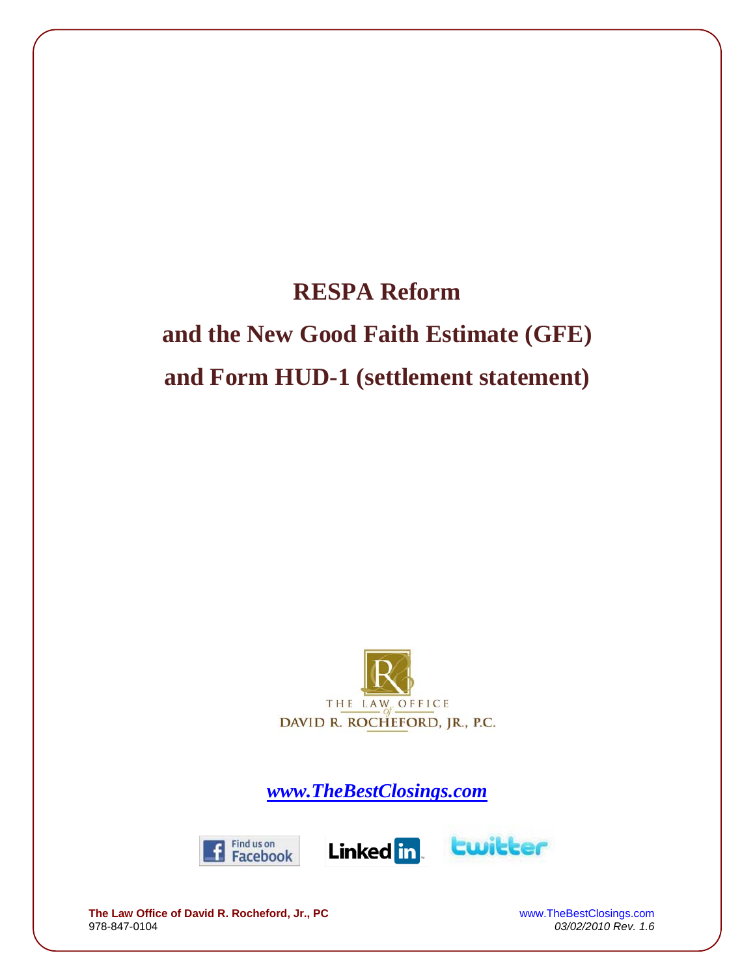# **RESPA Reform and the New Good Faith Estimate (GFE) and Form HUD-1 (settlement statement)**



*www.TheBestClosings.com*







**The Law Office of David R. Rocheford, Jr., PC** WWW.TheBestClosings.com<br>978-847-0104 03/02/2010 Rev. 1.6

978-847-0104 *03/02/2010 Rev. 1.6*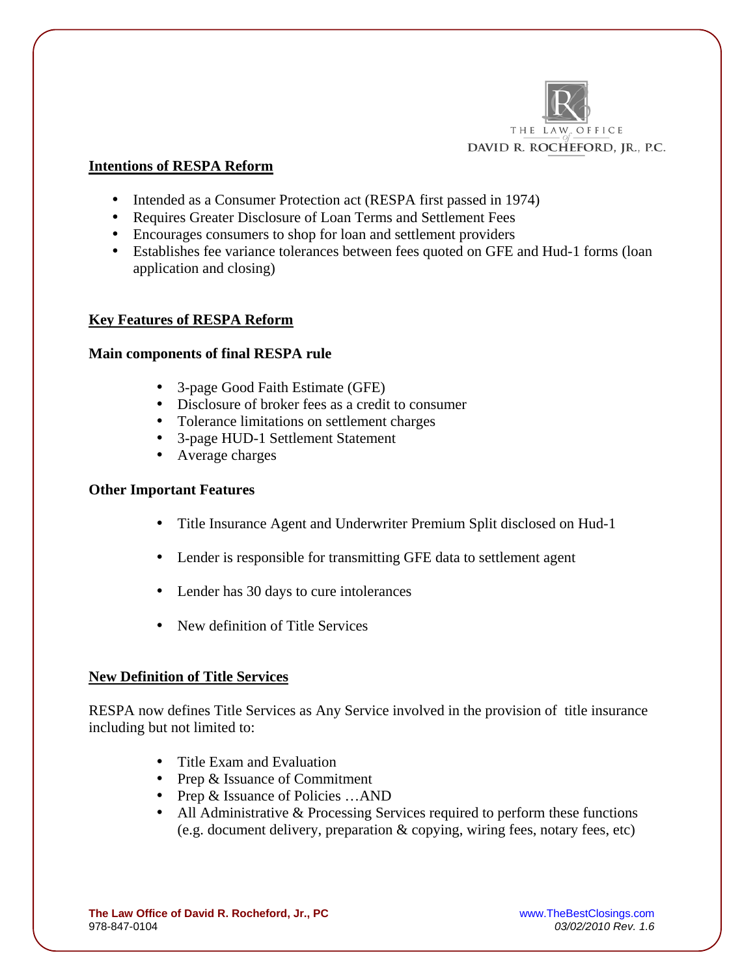

## **Intentions of RESPA Reform**

- Intended as a Consumer Protection act (RESPA first passed in 1974)
- Requires Greater Disclosure of Loan Terms and Settlement Fees
- Encourages consumers to shop for loan and settlement providers
- Establishes fee variance tolerances between fees quoted on GFE and Hud-1 forms (loan application and closing)

#### **Key Features of RESPA Reform**

#### **Main components of final RESPA rule**

- 3-page Good Faith Estimate (GFE)
- Disclosure of broker fees as a credit to consumer
- Tolerance limitations on settlement charges
- 3-page HUD-1 Settlement Statement
- Average charges

#### **Other Important Features**

- Title Insurance Agent and Underwriter Premium Split disclosed on Hud-1
- Lender is responsible for transmitting GFE data to settlement agent
- Lender has 30 days to cure intolerances
- New definition of Title Services

#### **New Definition of Title Services**

RESPA now defines Title Services as Any Service involved in the provision of title insurance including but not limited to:

- Title Exam and Evaluation
- Prep & Issuance of Commitment
- Prep & Issuance of Policies …AND
- All Administrative & Processing Services required to perform these functions (e.g. document delivery, preparation & copying, wiring fees, notary fees, etc)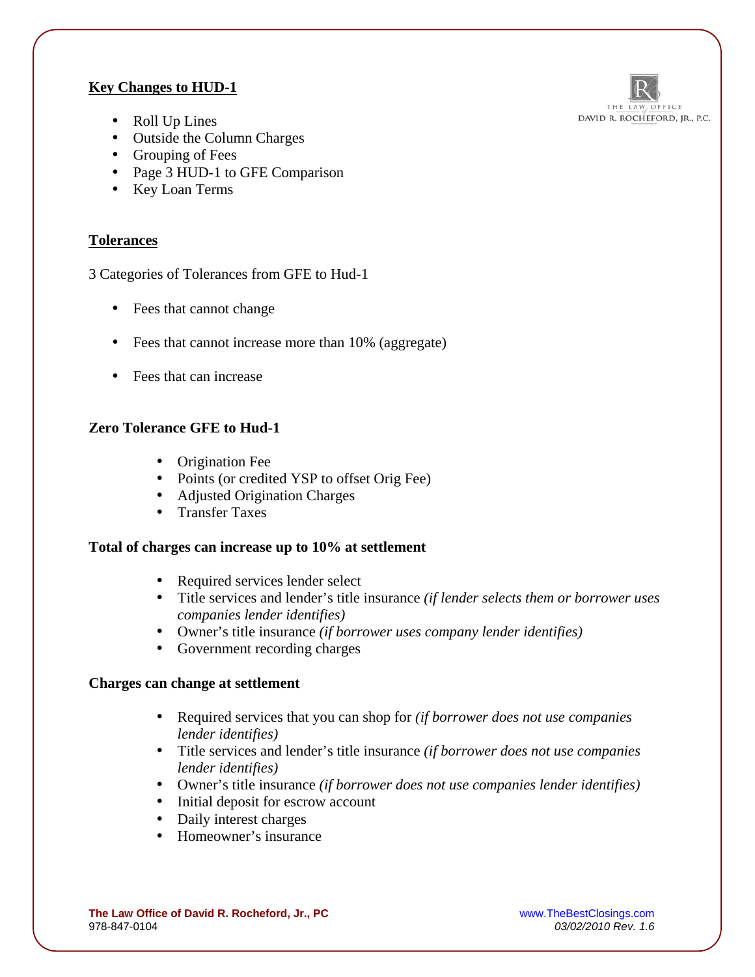# **Key Changes to HUD-1**



- Roll Up Lines
- Outside the Column Charges
- Grouping of Fees
- Page 3 HUD-1 to GFE Comparison
- Key Loan Terms

## **Tolerances**

3 Categories of Tolerances from GFE to Hud-1

- Fees that cannot change
- Fees that cannot increase more than 10% (aggregate)
- Fees that can increase

# **Zero Tolerance GFE to Hud-1**

- Origination Fee
- Points (or credited YSP to offset Orig Fee)
- Adjusted Origination Charges
- Transfer Taxes

#### **Total of charges can increase up to 10% at settlement**

- Required services lender select
- Title services and lender's title insurance *(if lender selects them or borrower uses companies lender identifies)*
- Owner's title insurance *(if borrower uses company lender identifies)*
- Government recording charges

#### **Charges can change at settlement**

- Required services that you can shop for *(if borrower does not use companies lender identifies)*
- Title services and lender's title insurance *(if borrower does not use companies lender identifies)*
- Owner's title insurance *(if borrower does not use companies lender identifies)*
- Initial deposit for escrow account
- Daily interest charges
- Homeowner's insurance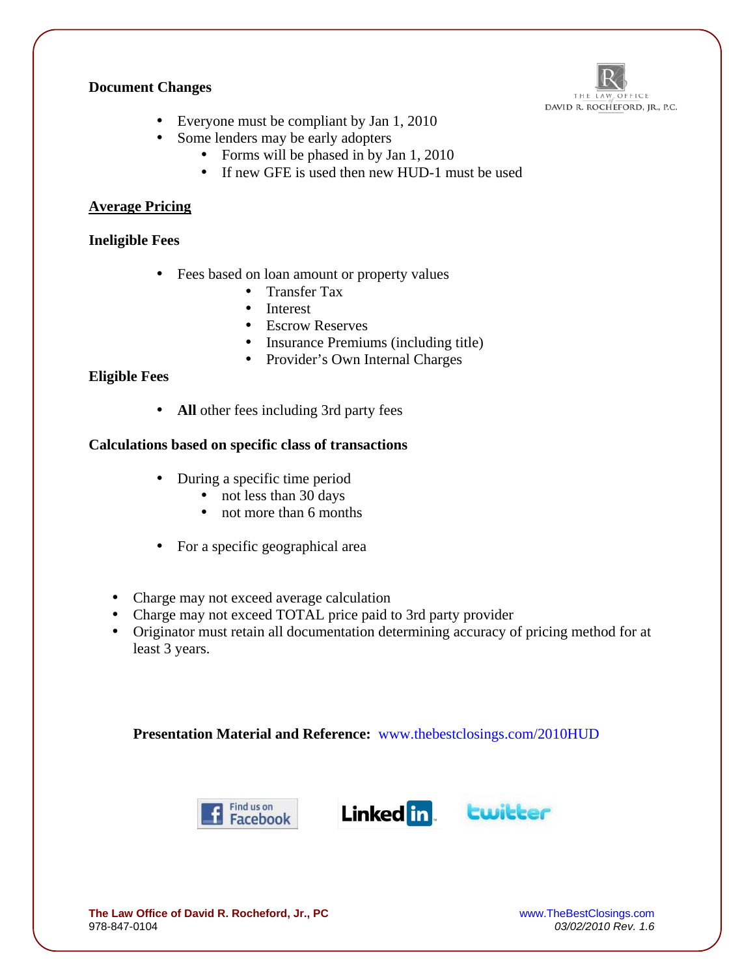#### **Document Changes**



- Everyone must be compliant by Jan 1, 2010
- Some lenders may be early adopters
	- Forms will be phased in by Jan 1, 2010
	- If new GFE is used then new HUD-1 must be used

## **Average Pricing**

## **Ineligible Fees**

- Fees based on loan amount or property values
	- Transfer Tax
	- Interest
	- Escrow Reserves
	- Insurance Premiums (including title)
	- Provider's Own Internal Charges

## **Eligible Fees**

• **All** other fees including 3rd party fees

#### **Calculations based on specific class of transactions**

- During a specific time period
	- not less than 30 days
	- not more than 6 months
- For a specific geographical area
- Charge may not exceed average calculation
- Charge may not exceed TOTAL price paid to 3rd party provider
- Originator must retain all documentation determining accuracy of pricing method for at least 3 years.

**Presentation Material and Reference:** www.thebestclosings.com/2010HUD







978-847-0104 *03/02/2010 Rev. 1.6*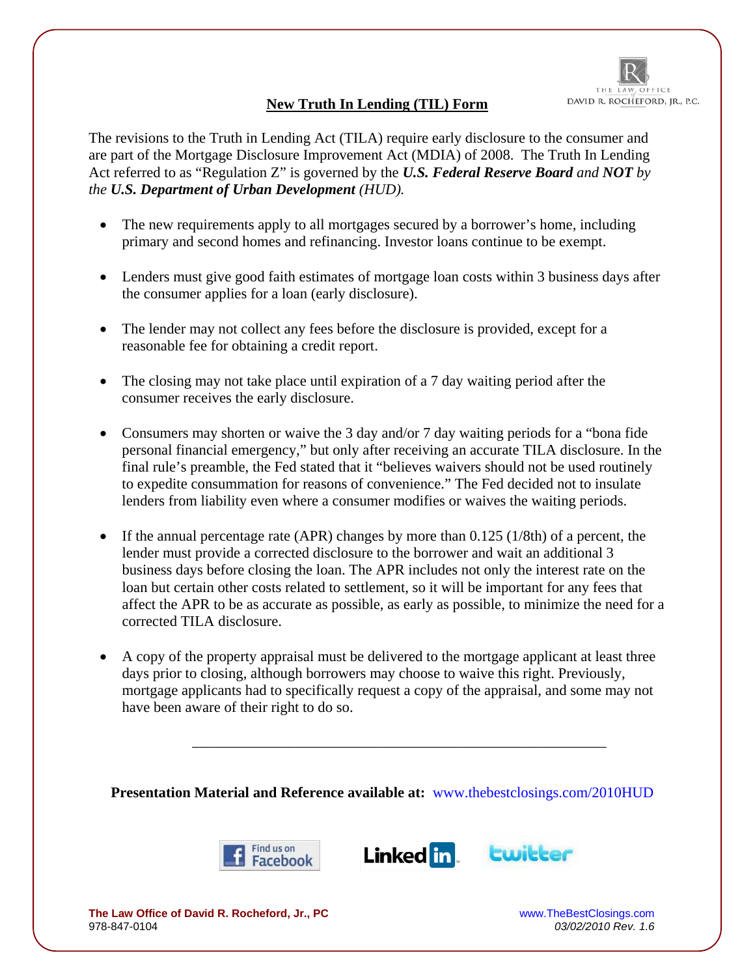

# **New Truth In Lending (TIL) Form**

The revisions to the Truth in Lending Act (TILA) require early disclosure to the consumer and are part of the Mortgage Disclosure Improvement Act (MDIA) of 2008. The Truth In Lending Act referred to as "Regulation Z" is governed by the *U.S. Federal Reserve Board and NOT by the U.S. Department of Urban Development (HUD).*

- The new requirements apply to all mortgages secured by a borrower's home, including primary and second homes and refinancing. Investor loans continue to be exempt.
- Lenders must give good faith estimates of mortgage loan costs within 3 business days after the consumer applies for a loan (early disclosure).
- The lender may not collect any fees before the disclosure is provided, except for a reasonable fee for obtaining a credit report.
- The closing may not take place until expiration of a 7 day waiting period after the consumer receives the early disclosure.
- Consumers may shorten or waive the 3 day and/or 7 day waiting periods for a "bona fide" personal financial emergency," but only after receiving an accurate TILA disclosure. In the final rule's preamble, the Fed stated that it "believes waivers should not be used routinely to expedite consummation for reasons of convenience." The Fed decided not to insulate lenders from liability even where a consumer modifies or waives the waiting periods.
- If the annual percentage rate (APR) changes by more than  $0.125$  (1/8th) of a percent, the lender must provide a corrected disclosure to the borrower and wait an additional 3 business days before closing the loan. The APR includes not only the interest rate on the loan but certain other costs related to settlement, so it will be important for any fees that affect the APR to be as accurate as possible, as early as possible, to minimize the need for a corrected TILA disclosure.
- A copy of the property appraisal must be delivered to the mortgage applicant at least three days prior to closing, although borrowers may choose to waive this right. Previously, mortgage applicants had to specifically request a copy of the appraisal, and some may not have been aware of their right to do so.

**Presentation Material and Reference available at:** www.thebestclosings.com/2010HUD

\_\_\_\_\_\_\_\_\_\_\_\_\_\_\_\_\_\_\_\_\_\_\_\_\_\_\_\_\_\_\_\_\_\_\_\_\_\_\_\_\_\_\_\_\_\_\_\_\_\_\_\_\_\_\_\_





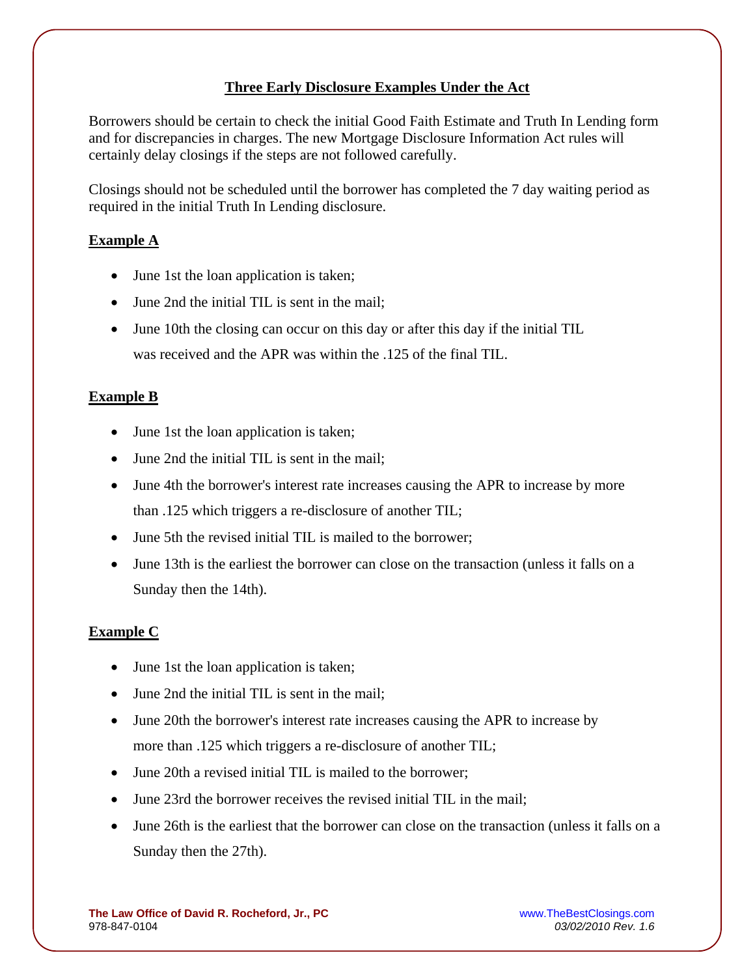# **Three Early Disclosure Examples Under the Act**

Borrowers should be certain to check the initial Good Faith Estimate and Truth In Lending form and for discrepancies in charges. The new Mortgage Disclosure Information Act rules will certainly delay closings if the steps are not followed carefully.

Closings should not be scheduled until the borrower has completed the 7 day waiting period as required in the initial Truth In Lending disclosure.

## **Example A**

- June 1st the loan application is taken;
- June 2nd the initial TIL is sent in the mail;
- June 10th the closing can occur on this day or after this day if the initial TIL was received and the APR was within the .125 of the final TIL.

#### **Example B**

- June 1st the loan application is taken;
- June 2nd the initial TIL is sent in the mail;
- June 4th the borrower's interest rate increases causing the APR to increase by more than .125 which triggers a re-disclosure of another TIL;
- June 5th the revised initial TIL is mailed to the borrower;
- June 13th is the earliest the borrower can close on the transaction (unless it falls on a Sunday then the 14th).

#### **Example C**

- June 1st the loan application is taken;
- June 2nd the initial TIL is sent in the mail:
- June 20th the borrower's interest rate increases causing the APR to increase by more than .125 which triggers a re-disclosure of another TIL;
- June 20th a revised initial TIL is mailed to the borrower;
- June 23rd the borrower receives the revised initial TIL in the mail;
- June 26th is the earliest that the borrower can close on the transaction (unless it falls on a Sunday then the 27th).